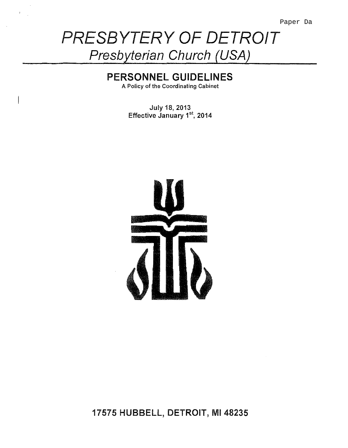# PRESBYTERY OF DETROIT **Presbyterian Church (USA)**

# **PERSONNEL GUIDELINES**

A Policy of the Coordinating Cabinet

July 18, 2013 Effective January 1<sup>st</sup>, 2014



# 17575 HUBBELL, DETROIT, Ml 48235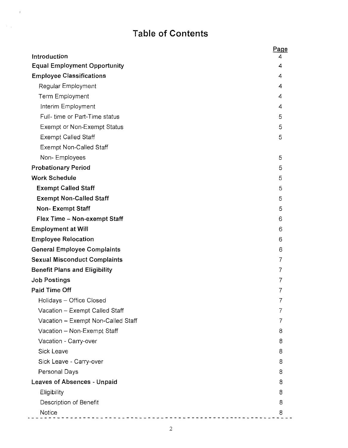# **Table of Contents**

 $\mathbb{R}^2$ 

 $\sim 10$ 

| Introduction                         | Page<br>4      |
|--------------------------------------|----------------|
| <b>Equal Employment Opportunity</b>  | 4              |
| <b>Employee Classifications</b>      | 4              |
| Regular Employment                   | 4              |
| <b>Term Employment</b>               | 4              |
| Interim Employment                   | 4              |
| Full- time or Part-Time status       | 5              |
| <b>Exempt or Non-Exempt Status</b>   | 5              |
| <b>Exempt Called Staff</b>           | 5              |
| <b>Exempt Non-Called Staff</b>       |                |
| Non-Employees                        | 5              |
| <b>Probationary Period</b>           | 5              |
| <b>Work Schedule</b>                 | 5              |
| <b>Exempt Called Staff</b>           | 5              |
| <b>Exempt Non-Called Staff</b>       | 5              |
| <b>Non-Exempt Staff</b>              | 5              |
| Flex Time - Non-exempt Staff         | 6              |
| <b>Employment at Will</b>            | 6              |
| <b>Employee Relocation</b>           | 6              |
| <b>General Employee Complaints</b>   | 6              |
| <b>Sexual Misconduct Complaints</b>  | 7              |
| <b>Benefit Plans and Eligibility</b> | $\overline{7}$ |
| <b>Job Postings</b>                  | 7              |
| <b>Paid Time Off</b>                 | 7              |
| Holidays - Office Closed             | I              |
| Vacation - Exempt Called Staff       |                |
| Vacation - Exempt Non-Called Staff   |                |
| Vacation - Non-Exempt Staff          | 8              |
| Vacation - Carry-over                | 8              |
| Sick Leave                           | 8              |
| Sick Leave - Carry-over              | 8              |
| Personal Days                        | 8              |
| <b>Leaves of Absences - Unpaid</b>   | 8              |
| Eligibility                          | 8              |
| Description of Benefit               | 8              |
| <b>Notice</b>                        | 8              |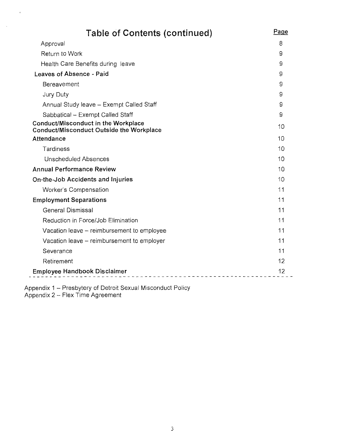| <b>Table of Contents (continued)</b>                                            | Page |
|---------------------------------------------------------------------------------|------|
| Approval                                                                        | 8    |
| Return to Work                                                                  | 9    |
| Health Care Benefits during leave                                               | 9    |
| Leaves of Absence - Paid                                                        | 9    |
| Bereavement                                                                     | 9    |
| Jury Duty                                                                       | 9    |
| Annual Study leave - Exempt Called Staff                                        | 9    |
| Sabbatical - Exempt Called Staff                                                | 9    |
| Conduct/Misconduct in the Workplace<br>Conduct/Misconduct Outside the Workplace | 10   |
| Attendance                                                                      | 10   |
| Tardiness                                                                       | 10   |
| <b>Unscheduled Absences</b>                                                     | 10   |
| <b>Annual Performance Review</b>                                                | 10   |
| <b>On-the-Job Accidents and Injuries</b>                                        | 10   |
| Worker's Compensation                                                           | 11   |
| <b>Employment Separations</b>                                                   | 11   |
| <b>General Dismissal</b>                                                        | 11   |
| Reduction in Force/Job Elimination                                              | 11   |
| Vacation leave - reimbursement to employee                                      | 11   |
| Vacation leave – reimbursement to employer                                      | 11   |
| Severance                                                                       | 11   |
| Retirement                                                                      | 12   |
| <b>Employee Handbook Disclaimer</b>                                             | 12   |
|                                                                                 |      |

Appendix 1 - Presbytery of Detroit Sexual Misconduct Policy Appendix 2 – Flex Time Agreement

 $\langle \hat{\phi} \rangle$ 

 $\frac{1}{2}$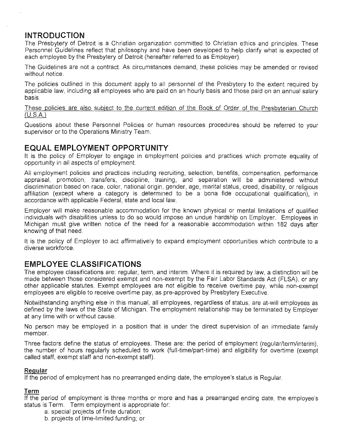# **INTRODUCTION**

The Presbytery of Detroit is a Christian organization committed to Christian ethics and principles. These Personnel Guidelines reflect that philosophy and have been developed to help clarify what is expected of each employee by the Presbytery of Detroit (hereafter referred to as Employer).

The Guidelines are not a contract. As circumstances demand, these policies may be amended or revised without notice.

The policies outlined in this document apply to all personnel of the Presbytery to the extent required by applicable law, including all employees who are paid on an hourly basis and those paid on an annual salary basis.

These policies are also subiect to the current edition of the Book of Order of the Presbyterian Church (U.S.A)

Questions about these Personnel Policies or human resources procedures should be referred to your supervisor or to the Operations Ministry Team.

# **EQUAL EMPLOYMENT OPPORTUNITY**

It is the policy of Employer to engage in employment policies and practices which promote equality of opportunity in all aspects of employment.

All employment policies and practices inciuding recruiting, selection, benefits, compensation, performance appraisal, promotion, transfers, discipline, training, and separation will be administered without discrimination based on race, color, national origin, gender, age, marital status, creed, disability, or religious affiliation (except where a category is determined to be a bona fide occupational qualification), in accordance with applicable Federal, state and local law.

Employer will make reasonable accommodation for the known physical or mental limitations of qualified individuals with disabilities unless to do so would impose an undue hardship on Employer. Employees in Michigan must give written notice of the need for a reasonable accommodation within 182 days after knowing of that need.

It is the policy of Employer to act affirmatively to expand employment opportunities which contribute to a diverse workforce.

# **EMPLOYEE CLASSIFICATIONS**

The employee classifications are: regular, term, and interim. Where it is required by law, a distinction will be made between those considered exempt and non-exempt by the Fair Labor Standards Act (FLSA), or any other applicable statutes. Exempt employees are not eligible to receive overtime pay, while non-exempt employees are eligible to receive overtime pay, as pre-approved by Presbytery Executive.

Notwithstanding anything else in this manual, all employees, regardless of status, are at-will employees as defined by the laws of the State of Michigan. The employment relationship may be terminated by Employer at any time with or without cause.

No person may be employed in a position that is under the direct supervision of an immediate family member.

Three factors define the status of employees. These are: the period of employment (regular/term/interim), the number of hours regularly scheduled to work (full-time/part-time) and eligibility for overtime (exempt called staff, exempt staff and non-exempt staff).

#### **Regular**

If the period of employment has no prearranged ending date, the employee's status is Regular

#### **Term**

If the period of employment is three months or more and has a prearranged ending date, the employee's status is Term. Term employment is appropriate for:

- a. special projects of finite duration;
- b. projects of time-limited funding; or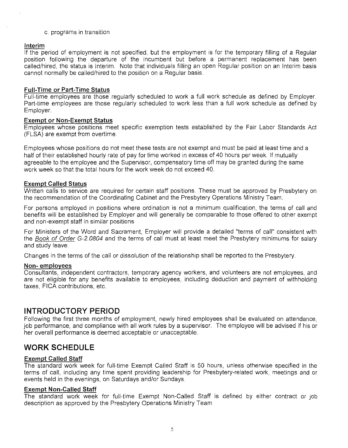#### c. programs in transition

#### **Interim**

If the period of employment is not specified, but the employment is for the temporary filling of a Regular position following the departure of the incumbent but before a permanent replacement has been called/hired, the status is Interim. Note that individuals filling an open Regular position on an Interim basis cannot normally be called/hired to the position on a Regular basis.

#### **Full-Time or Part-Time Status**

Full-time employees are those regularly scheduled to work a full work schedule as defined by Employer. Part-time employees are those regularly scheduled to work less than a full work schedule as defined by Employer.

#### **Exempt or Non-Exempt Status**

Employees whose positions meet specific exemption tests established by the Fair Labor Standards Act (FLSA) are exempt from overtime.

Employees whose positions do not meet these tests are not exempt and must be paid at least time and a half of their established hourly rate of pay for time worked in excess of 40 hours per week. If mutually agreeable to the employee and the Supervisor, compensatory time off may be granted during the same work week so that the total hours for the work week do not exceed 40.

#### **Exempt Called Status**

Written calls to service are required for certain staff positions. These must be approved by Presbytery on the recommendation of the Coordinating Cabinet and the Presbytery Operations Ministry Team.

For persons employed in positions where ordination is not a minimum qualification, the terms of call and benefits will be established by Employer and will generally be comparable to those offered to other exempt and non-exempt staff in similar positions

For Ministers of the Word and Sacrament, Employer will provide a detailed "terms of call" consistent with the Book of Order G-2.0804 and the terms of call must at least meet the Presbytery minimums for salary and study leave.

Changes in the terms of the call or dissolution of the relationship shall be reported to the Presbytery.

#### **Non- employees**

Consultants, independent contractors, temporary agency workers, and volunteers are not employees, and are not eligible for any benefits available to employees, including deduction and payment of withholding taxes, FICA contributions, etc.

#### **INTRODUCTORY PERIOD**

Following the first three months of employment, newly hired employees shall be evaluated on attendance, job performance, and compliance with all work rules by a supervisor. The employee will be advised if his or her overall performance is deemed acceptable or unacceptable.

### **WORK SCHEDULE**

#### **Exempt Called Staff**

The standard work week for full-time Exempt Called Staff is 50 hours, unless otherwise specified in the terms of call, including any time spent providing leadership for Presbytery-related work, meetings and or events held in the evenings, on Saturdays and/or Sundays.

#### **Exempt Non-Called Staff**

The standard work week for full-time Exempt Non-Called Staff is defined by either contract or job description as approved by the Presbytery Operations Ministry Team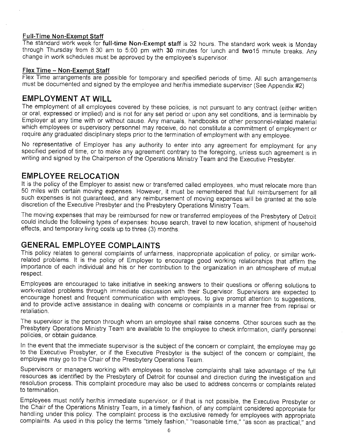#### **Full-Time Non-Exempt Staff**

The standard work week for **full-time Non-Exempt staff** is 32 hours. The standard work week is Monday through Thursday from 8:30 am to 5:00 pm with **30** minutes for lunch and **two15** minute breaks. Any change in work schedules must be approved by the employee's supervisor.

#### **Flex Time - Non-Exempt Staff**

Flex Time arrangements are possible for temporary and specified periods of time. All such arrangements must be documented and signed by the employee and her/his immediate supervisor (See Appendix #2)

# **EMPLOYMENT AT WILL**

The employment of all employees covered by these policies, is not pursuant to any contract (either written or oral, expressed or implied) and is not for any set period or upon any set conditions, and is terminable by Employer at any time with or without cause. Any manuals, handbooks or other personnel-related material which employees or supervisory personnel may receive, do not constitute a commitment of employment or require any graduated disciplinary steps prior to the termination of employment with any employee.

No representative of Employer has any authority to enter into any agreement for employment for any specified period of time, or to make any agreement contrary to the foregoing, unless such agreement is in writing and signed by the Chairperson of the Operations Ministry Team and the Executive Presbyter

# **EMPLOYEE RELOCATION**

It is the policy of the Employer to assist new or transferred called employees, who must relocate more than 50 miles with certain moving expenses. However, it must be remembered that full reimbursement for all such expenses is not guaranteed, and any reimbursement of moving expenses will be granted at the sole discretion of the Executive Presbyter and the Presbytery Operations Ministry Team.

The moving expenses that may be reimbursed for new or transferred employees of the Presbytery of Detroit could include the following types of expenses: house search, travel to new location, shipment of household effects, and temporary living costs up to three (3) months.

# **GENERAL EMPLOYEE COMPLAINTS**

This policy relates to general complaints of unfairness, inappropriate application of policy, or similar workrelated problems. It is the policy of Employer to encourage good working relationships that affirm the importance of each individual and his or her contribution to the organization in an atmosphere of mutual respect

Employees are encouraged to take initiative in seeking answers to their questions or offering solutions to work-related problems through immediate discussion with their Supervisor. Supervisors are expected to encourage honest and frequent communication with employees, to give prompt attention to suggestions, and to provide active assistance in dealing with concerns or complaints in a manner free from reprisal or retaliation.

The supervisor is the person through whom an employee shall raise concerns. Other sources such as the Presbytery Operations Ministry Team are available to the employee to check information, clarify personnel policies, or obtain guidance.

In the event that the immediate supervisor is the subject of the concern or complaint, the employee may go to the Executive Presbyter, or if the Executive Presbyter is the subject of the concern or complaint, the employee may go to the Chair of the Presbytery Operations Team.

Supervisors or managers working with employees to resolve complaints shall take advantage of the full resources as identified by the Presbytery of Detroit for counsel and direction during the investigation and resolution process. This complaint procedure may also be used to address concerns or complaints related to termination.

Employees must notify her/his immediate supervisor, or if that is not possible, the Executive Presbyter or the Chair of the Operations Ministry Team, in a timely fashion, of any complaint considered appropriate for handling under this policy. The complaint process is the exclusive remedy for employees with appropriate complaints. As used in this policy the terms "timely fashion," "reasonable time," "as soon as practical," and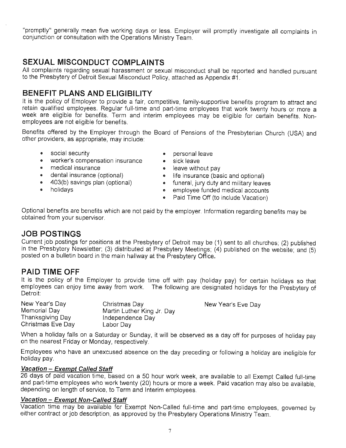"promptly" generally mean five working days or less. Employer will promptly investigate all complaints in conjunction or consultation with the Operations Ministry Team.

# **SEXUAL MISCONDUCT COMPLAINTS**

All complaints regarding sexual harassment or sexual misconduct shall be reported and handled pursuant to the Presbytery of Detroit Sexual Misconduct Policy, attached as Appendix #1.

# **BENEFIT PLANS AND ELIGIBILITY**

It is the policy of Employer to provide a fair, competitive, family-supportive benefits program to attract and retain qualified employees. Regular full-time and part-time employees that work twenty hours or more a week are eligible for benefits. Term and interim employees may be eligible for certain benefits. Nonemployees are not eligible for benefits.

Benefits offered by the Employer through the Board of Pensions of the Presbyterian Church (USA) and other providers, as appropriate, may include:

- 
- worker's compensation insurance sick leave<br>• medical insurance • leave with
- medical insurance **•** leave without pay
- 
- 
- 
- social security **•** personal leave
	-
	-
- dental insurance ( optional) life insurance (basic and optional)
	- funeral, jury duty and military leaves
- holidays  **employee funded medical accounts** 
	- Paid Time Off (to include Vacation)

Optional benefits are benefits which are not paid by the employer. Information regarding benefits may be obtained from your supervisor.

### **JOB POSTINGS**

Current job postings for positions at the Presbytery of Detroit may be (1) sent to all churches; (2) published in the Presbytery Newsletter; (3) distributed at Presbytery Meetings; (4) published on the website; and (5) posted on a bulletin board in the main hallway at the Presbytery Office.

# **PAID TIME OFF**

It is the policy of the Employer to provide time off with pay (holiday pay) for certain holidays so that employees can enjoy time away from work. The following are designated holidays for the Presbytery of Detroit:

New Year's Day Memorial Day Thanksgiving Day Christmas Eve Day Christmas Day Martin Luther King Jr. Day Independence Day Labor Day

New Year's Eve Day

When a holiday falls on a Saturday or Sunday, it will be observed as a day off for purposes of holiday pay on the nearest Friday or Monday, respectively.

Employees who have an unexcused absence on the day preceding or following a holiday are ineligible for holiday pay.

#### **Vacation - Exempt Called Staff**

26 days of paid vacation time, based on a 50 hour work week, are available to all Exempt Called full-time and part-time employees who work twenty (20) hours or more a week. Paid vacation may also be available, depending on length of service, to Term and Interim employees.

#### **Vacation - Exempt Non-Called Staff**

Vacation time may be available for Exempt Non-Called full-time and part-time employees, governed by either contract or job description, as approved by the Presbytery Operations Ministry Team.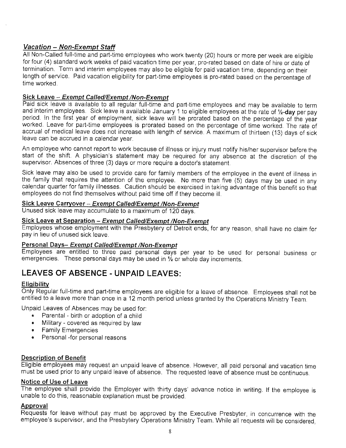#### **Vacation - Non-Exempt Staff**

All Non-Called full-time and part-time employees who work twenty (20) hours or more per week are eligible for four (4) standard work weeks of paid vacation time per year, pro-rated based on date of hire or date of termination. Term and interim employees may also be eligible for paid vacation time, depending on their length of service. Paid vacation eligibility for part-time employees is pro-rated based on the percentage of time worked.

#### **Sick Leave - Exempt Ca/led/Exempt /Non-Exempt**

Paid sick leave is available to all regular full-time and part-time employees and may be available to term and interim employees. Sick leave is available January 1 to eligible employees at the rate of **½-day** per pay period. In the first year of employment, sick leave will be prorated based on the percentage of the year worked. Leave for part-time employees is prorated based on the percentage of time worked. The rate of accrual of medical leave does not increase with length of service. A maximum of thirteen (13) days of sick leave can be accrued in a calendar year.

An employee who cannot report to work because of illness or injury must notify his/her supervisor before the start of the shift. A physician's statement may be required for any absence at the discretion of the supervisor. Absences of three (3) days or more require a doctor's statement.

Sick leave may also be used to provide care for family members of the employee in the event of illness in the family that requires the attention of the employee. No more than five (5) days may be used in any calendar quarter for family illnesses. Caution should be exercised in taking advantage of this benefit so that employees do not find themselves without paid time off if they become ill.

#### **Sick Leave Carryover Exempt Ca/led/Exempt /Non-Exempt**

Unused sick leave may accumulate to a maximum of 120 days.

#### **Sick Leave at Separation Exempt Called/Exempt /Non-Exempt**

Employees whose employment with the Presbytery of Detroit ends, for any reason, shall have no claim for pay in lieu of unused sick leave.

#### **Personal Days- Exempt Called/Exempt /Non-Exempt**

Employees are entitled to three paid personal days per year to be used for personal business or emergencies. These personal days may be used in  $\frac{1}{2}$  or whole day increments.

# **LEAVES OF ABSENCE - UNPAID LEAVES:**

#### **Eligibility**

Only Regular full-time and part-time employees are eligible for a leave of absence. Employees shall not be entitled to a leave more than once in a 12 month period unless granted by the Operations Ministry Team.

Unpaid Leaves of Absences may be used for:

- Parental birth or adoption of a child
- Military covered as required by law
- Family Emergencies
- Personal -for personal reasons

#### **Description of Benefit**

Eligible employees may request an unpaid leave of absence. However, all paid personal and vacation time must be used prior to any unpaid leave of absence. The requested leave of absence must be continuous.

#### **Notice of Use of Leave**

The employee shall provide the Employer with thirty days' advance notice in writing. If the employee is unable to do this, reasonable explanation must be provided.

#### **Approval**

Requests for leave without pay must be approved by the Executive Presbyter, in concurrence with the employee's supervisor, and the Presbytery Operations Ministry Team. While all requests will be considered,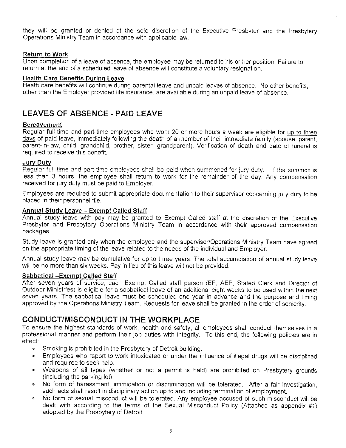they will be granted or denied at the sole discretion of the Executive Presbyter and the Presbytery Operations Ministry Team in accordance with applicable law.

#### **Return to Work**

Upon completion of a leave of absence, the employee may be returned to his or her position. Failure to return at the end of a scheduled leave of absence will constitute a voluntary resignation.

#### **Health Care Benefits During Leave**

Heath care benefits will continue during parental leave and unpaid leaves of absence. No other benefits, other than the Employer provided life insurance, are available during an unpaid leave of absence.

# **LEAVES OF ABSENCE - PAID LEAVE**

#### **Bereavement**

Regular full-time and part-time employees who work 20 or more hours a week are eligible for up to three days of paid leave, immediately following the death of a member of their immediate family (spouse, parent, parent-in-law, child, grandchild, brother, sister, grandparent). Verification of death and date of funeral is required to receive this benefit.

#### **Jury Duty**

Regular full-time and part-time employees shall be paid when summoned for jury duty. If the summon is less than 3 hours, the employee shall return to work for the remainder of the day. Any compensation received for jury duty must be paid to Employer.

Employees are required to submit appropriate documentation to their supervisor concerning jury duty to be placed in their personnel file.

#### **Annual Study Leave Exempt Called Staff**

Annual study leave with pay may be granted to Exempt Called staff at the discretion of the Executive Presbyter and Presbytery Operations Ministry Team in accordance with their approved compensation packages.

Study leave is granted only when the employee and the supervisor/Operations Ministry Team have agreed on the appropriate timing of the leave related to the needs of the individual and Employer.

Annual study leave may be cumulative for up to three years. The total accumulation of annual study leave will be no more than six weeks. Pay in lieu of this leave will not be provided.

#### **Sabbatical Exempt Called Staff**

After seven years of service, each Exempt Called staff person (EP, AEP, Stated Clerk and Director of Outdoor Ministries) is eligible for a sabbatical leave of an additional eight weeks to be used within the next seven years. The sabbatical leave must be scheduled one year in advance and the purpose and timing approved by the Operations Ministry Team. Requests for leave shall be granted in the order of seniority

### **CONDUCT/MISCONDUCT IN THE WORKPLACE**

To ensure the highest standards of work, health and safety, all employees shall conduct themselves in a professional manner and perform their job duties with integrity. To this end, the following policies are in effect:

- Smoking is prohibited in the Presbytery of Detroit building.
- Employees who report to work intoxicated or under the influence of illegal drugs will be disciplined and required to seek help.
- Weapons of all types (whether or not a permit is held) are prohibited on Presbytery grounds (including the parking lot).
- No form of harassment, intimidation or discrimination will be tolerated. After a fair investigation, such acts shall result in disciplinary action up to and including termination of employment.
- No form of sexual misconduct will be tolerated. Any employee accused of such misconduct will be dealt with according to the terms of the Sexual Misconduct Policy (Attached as appendix #1) adopted by the Presbytery of Detroit.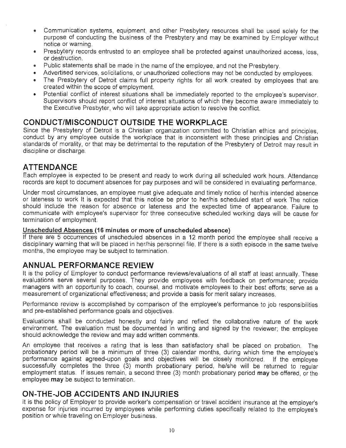- Communication systems, equipment, and other Presbytery resources shall be used solely for the purpose of conducting the business of the Presbytery and may be examined by Employer without notice or warning.
- Presbytery records entrusted to an employee shall be protected against unauthorized access, loss, or destruction.
- Public statements shall be made in the name of the employee, and not the Presbytery.
- Advertised services, solicitations, or unauthorized collections may not be conducted by employees.
- The Presbytery of Detroit claims full property rights for all work created by employees that are created within the scope of employment.
- Potential conflict of interest situations shall be immediately reported to the employee's supervisor. Supervisors should report conflict of interest situations of which they become aware immediately to the Executive Presbyter, who will take appropriate action to resolve the conflict.

# **CONDUCT/MISCONDUCT OUTSIDE THE WORKPLACE**

Since the Presbytery of Detroit is a Christian organization committed to Christian ethics and principles, conduct by any employee outside the workplace that is inconsistent with these principles and Christian standards of morality, or that may be detrimental to the reputation of the Presbytery of Detroit may result in discipline or discharge.

# **ATTENDANCE**

Each employee is expected to be present and ready to work during all scheduled work hours. Attendance records are kept to document absences for pay purposes and will be considered in evaluating performance.

Under most circumstances, an employee must give adequate and timely notice of her/his intended absence or lateness to work It is expected that this notice be prior to her/his scheduled start of work The notice should include the reason for absence or lateness and the expected time of appearance. Failure to communicate with employee's supervisor for three consecutive scheduled working days will be cause for termination of employment.

#### **Unscheduled Absences (16 minutes or more of unscheduled absence)**

If there are 5 occurrences of unscheduled absences in a 12 month period the employee shall receive a disciplinary warning that will be placed in her/his personnel file. If there is a sixth episode in the same twelve months, the employee may be subject to termination.

# **ANNUAL PERFORMANCE REVIEW**

It is the policy of Employer to conduct performance reviews/evaluations of all staff at least annually. These evaluations serve several purposes. They provide employees with feedback on performance; provide managers with an opportunity to coach, counsel, and motivate employees to their best efforts; serve as a measurement of organizational effectiveness; and provide a basis for merit salary increases.

Performance review is accomplished by comparison of the employee's performance to job responsibilities and pre-established performance goals and objectives.

Evaluations shall be conducted honestly and fairly and reflect the collaborative nature of the work environment. The evaluation must be documented in writing and signed by the reviewer; the employee should acknowledge the review and may add written comments.

An employee that receives a rating that is less than satisfactory shall be placed on probation. The probationary period will be a minimum of three (3) calendar months, during which time the employee's performance against agreed-upon goals and objectives will be closely monitored. If the employee successfully completes the three (3) month probationary period, he/she will be returned to regular employment status. If issues remain, a second three (3) month probationary period **may** be offered, or the employee **may** be subject to termination.

# **ON-THE-JOB ACCIDENTS AND INJURIES**

It is the policy of Employer to provide worker's compensation or travel accident insurance at the employer's expense for injuries incurred by employees while performing duties specifically related to the employee's position or while traveling on Employer business.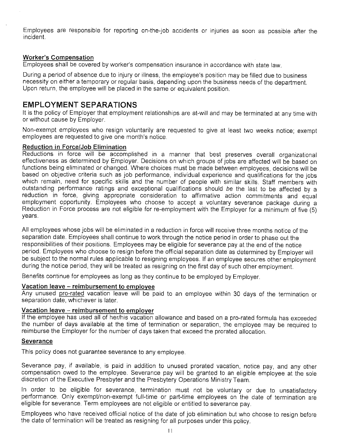Employees are responsible for reporting on-the-job accidents or injuries as soon as possible after the incident.

#### **Worker's Compensation**

Employees shall be covered by worker's compensation insurance in accordance with state law.

During a period of absence due to injury or illness, the employee's position may be filled due to business necessity on either a temporary or regular basis, depending upon the business needs of the department. Upon return, the employee will be placed in the same or equivalent position.

# **EMPLOYMENT SEPARATIONS**

It is the policy of Employer that employment relationships are at-will and may be terminated at any time with or without cause by Employer.

Non-exempt employees who resign voluntarily are requested to give at least two weeks notice; exempt employees are requested to give one month's notice.

#### **Reduction in Force/Job Elimination**

Reductions in force will be accomplished in a manner that best preserves overall organizational effectiveness as determined by Employer. Decisions on which groups of jobs are affected will be based on functions being eliminated or changed. Where choices must be made between employees, decisions will be based on objective criteria such as job performance, individual experience and qualifications for the jobs which remain, need for specific skills and the number of people with similar skills. Staff members with outstanding performance ratings and exceptional qualifications should be the last to be affected by a reduction in force, giving appropriate consideration to affirmative action commitments and equal employment opportunity. Employees who choose to accept a voluntary severance package during a Reduction in Force process are not eligible for re-employment with the Employer for a minimum of five (5) years.

All employees whose jobs will be eliminated in a reduction in force will receive three months notice of the separation date. Employees shall continue to work through the notice period in order to phase out the responsibilities of their positions. Employees may be eligible for severance pay at the end of the notice period. Employees who choose to resign before the official separation date as determined by Employer will be subject to the normal rules applicable to resigning employees. If an employee secures other employment during the notice period, they will be treated as resigning on the first day of such other employment.

Benefits continue for employees as long as they continue to be employed by Employer

#### **Vacation leave - reimbursement to employee**

Any unused pro-rated vacation leave will be paid to an employee within 30 days of the termination or separation date, whichever is later.

#### **Vacation leave - reimbursement to employer**

If the employee has used all of her/his vacation allowance and based on a pro-rated formula has exceeded the number of days available at the time of termination or separation, the employee may be required to reimburse the Employer for the number of days taken that exceed the prorated allocation.

#### **Severance**

This policy does not guarantee severance to any employee.

Severance pay, if available, is paid in addition to unused prorated vacation, notice pay, and any other compensation owed to the employee. Severance pay will be granted to an eligible employee at the sole discretion of the Executive Presbyter and the Presbytery Operations Ministry Team.

In order to be eligible for severance, termination must not be voluntary or due to unsatisfactory performance. Only exempt/non-exempt full-time or part-time employees on the date of termination are eligible for severance. Term employees are not eligible or entitled to severance pay.

Employees who have received official notice of the date of job elimination but who choose to resign before the date of termination will be treated as resigning for all purposes under this policy.